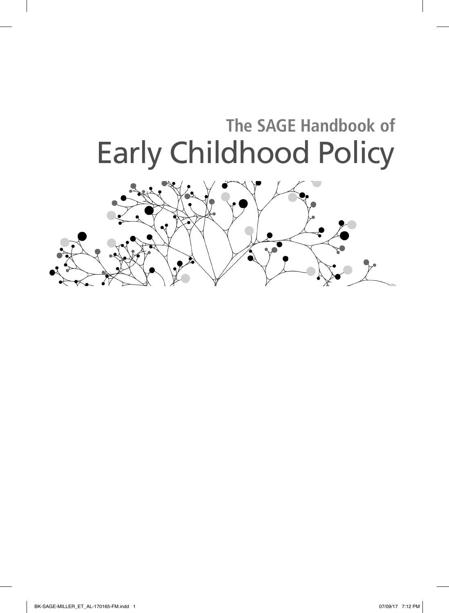# **The SAGE Handbook of** Early Childhood Policy

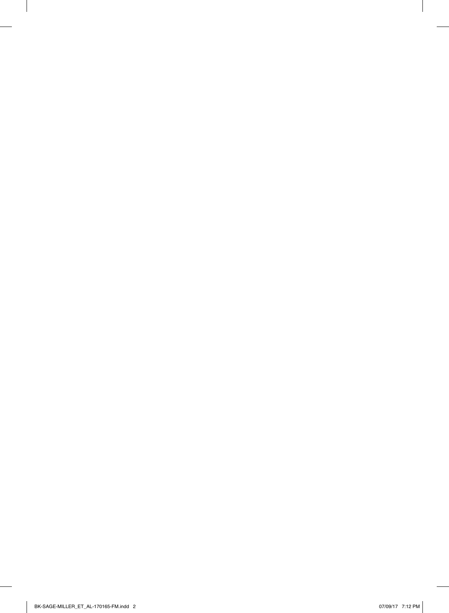I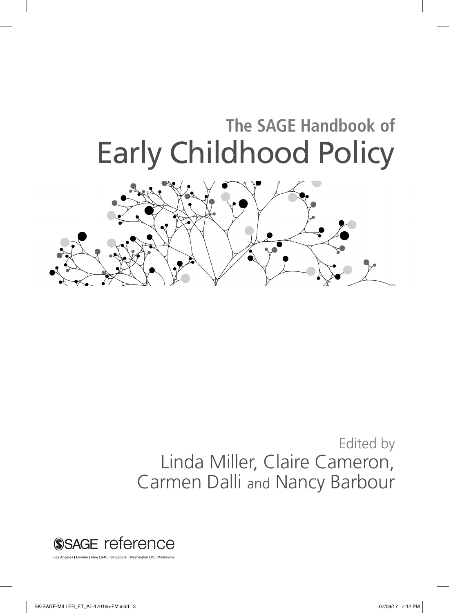# **The SAGE Handbook of** Early Childhood Policy



### Edited by Linda Miller, Claire Cameron, Carmen Dalli and Nancy Barbour



Los Angeles | London | New Delhi | Singapore | Washington DC | Melbourn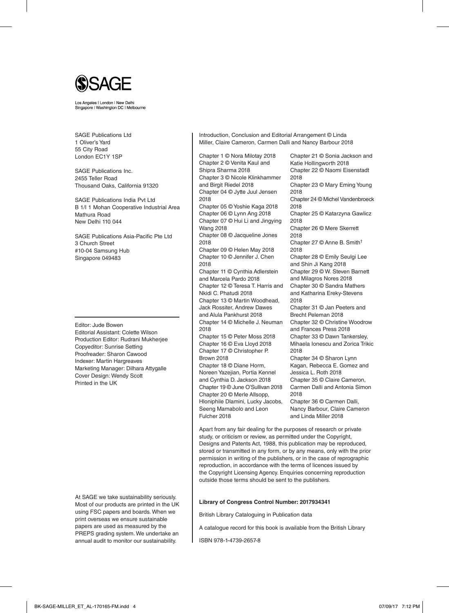

Los Angeles | London | New Delhi Singapore | Washington DC | Melbourne

SAGE Publications Ltd 1 Oliver's Yard 55 City Road London EC1Y 1SP

SAGE Publications Inc. 2455 Teller Road Thousand Oaks, California 91320

SAGE Publications India Pvt Ltd B 1/I 1 Mohan Cooperative Industrial Area Mathura Road New Delhi 110 044

SAGE Publications Asia-Pacific Pte Ltd 3 Church Street #10-04 Samsung Hub Singapore 049483

Editor: Jude Bowen Editorial Assistant: Colette Wilson Production Editor: Rudrani Mukherjee Copyeditor: Sunrise Setting Proofreader: Sharon Cawood Indexer: Martin Hargreaves Marketing Manager: Dilhara Attygalle Cover Design: Wendy Scott Printed in the UK

At SAGE we take sustainability seriously. Most of our products are printed in the UK using FSC papers and boards. When we print overseas we ensure sustainable papers are used as measured by the PREPS grading system. We undertake an annual audit to monitor our sustainability.

Introduction, Conclusion and Editorial Arrangement © Linda Miller, Claire Cameron, Carmen Dalli and Nancy Barbour 2018

Chapter 1 © Nora Milotay 2018 Chapter 2 © Venita Kaul and Shipra Sharma 2018 Chapter 3 © Nicole Klinkhammer and Birgit Riedel 2018 Chapter 04 © Jytte Juul Jensen 2018 Chapter 05 © Yoshie Kaga 2018 Chapter 06 © Lynn Ang 2018 Chapter 07 © Hui Li and Jingying Wang 2018 Chapter 08 © Jacqueline Jones 2018 Chapter 09 © Helen May 2018 Chapter 10 © Jennifer J. Chen 2018 Chapter 11 © Cynthia Adlerstein and Marcela Pardo 2018 Chapter 12 © Teresa T. Harris and Nkidi C. Phatudi 2018 Chapter 13 © Martin Woodhead, Jack Rossiter, Andrew Dawes and Alula Pankhurst 2018 Chapter 14 © Michelle J. Neuman 2018 Chapter 15 © Peter Moss 2018 Chapter 16 © Eva Lloyd 2018 Chapter 17 © Christopher P. Brown 2018 Chapter 18 © Diane Horm, Noreen Yazejian, Portia Kennel and Cynthia D. Jackson 2018 Chapter 19 © June O'Sullivan 2018 Chapter 20 © Merle Allsopp, Hloniphile Dlamini, Lucky Jacobs, Seeng Mamabolo and Leon Fulcher 2018

Chapter 21 © Sonia Jackson and Katie Hollingworth 2018 Chapter 22 © Naomi Eisenstadt 2018 Chapter 23 © Mary Eming Young 2018 Chapter 24 © Michel Vandenbroeck 2018 Chapter 25 © Katarzyna Gawlicz 2018 Chapter 26 © Mere Skerrett 2018 Chapter 27 © Anne B. Smith† 2018 Chapter 28 © Emily Seulgi Lee and Shin Ji Kang 2018 Chapter 29 © W. Steven Barnett and Milagros Nores 2018 Chapter 30 © Sandra Mathers and Katharina Ereky-Stevens 2018 Chapter 31 © Jan Peeters and Brecht Peleman 2018 Chapter 32 © Christine Woodrow and Frances Press 2018 Chapter 33 © Dawn Tankersley, Mihaela Ionescu and Zorica Trikic 2018 Chapter 34 © Sharon Lynn Kagan, Rebecca E. Gomez and Jessica L. Roth 2018 Chapter 35 © Claire Cameron, Carmen Dalli and Antonia Simon 2018 Chapter 36 © Carmen Dalli, Nancy Barbour, Claire Cameron and Linda Miller 2018

Apart from any fair dealing for the purposes of research or private study, or criticism or review, as permitted under the Copyright, Designs and Patents Act, 1988, this publication may be reproduced, stored or transmitted in any form, or by any means, only with the prior permission in writing of the publishers, or in the case of reprographic reproduction, in accordance with the terms of licences issued by the Copyright Licensing Agency. Enquiries concerning reproduction outside those terms should be sent to the publishers.

#### **Library of Congress Control Number: 2017934341**

British Library Cataloguing in Publication data

A catalogue record for this book is available from the British Library

ISBN 978-1-4739-2657-8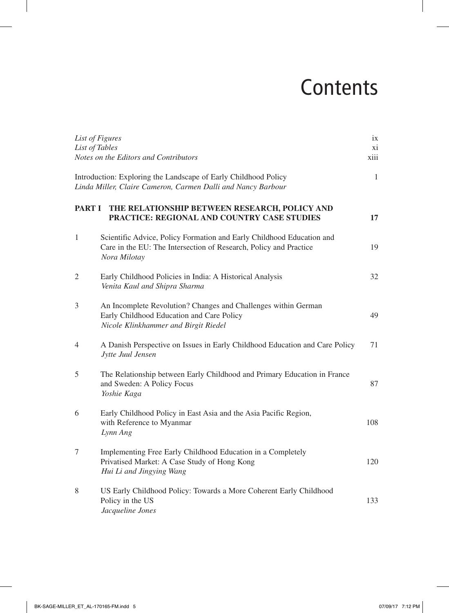### **Contents**

I

| List of Tables | List of Figures<br>Notes on the Editors and Contributors                                                                                                   | ix<br>xi<br>xiii |
|----------------|------------------------------------------------------------------------------------------------------------------------------------------------------------|------------------|
|                | Introduction: Exploring the Landscape of Early Childhood Policy<br>Linda Miller, Claire Cameron, Carmen Dalli and Nancy Barbour                            | $\mathbf{1}$     |
| <b>PART I</b>  | THE RELATIONSHIP BETWEEN RESEARCH, POLICY AND<br>PRACTICE: REGIONAL AND COUNTRY CASE STUDIES                                                               | 17               |
| 1              | Scientific Advice, Policy Formation and Early Childhood Education and<br>Care in the EU: The Intersection of Research, Policy and Practice<br>Nora Milotay | 19               |
| 2              | Early Childhood Policies in India: A Historical Analysis<br>Venita Kaul and Shipra Sharma                                                                  | 32               |
| 3              | An Incomplete Revolution? Changes and Challenges within German<br>Early Childhood Education and Care Policy<br>Nicole Klinkhammer and Birgit Riedel        | 49               |
| 4              | A Danish Perspective on Issues in Early Childhood Education and Care Policy<br>Jytte Juul Jensen                                                           | 71               |
| 5              | The Relationship between Early Childhood and Primary Education in France<br>and Sweden: A Policy Focus<br>Yoshie Kaga                                      | 87               |
| 6              | Early Childhood Policy in East Asia and the Asia Pacific Region,<br>with Reference to Myanmar<br>Lynn Ang                                                  | 108              |
| 7              | Implementing Free Early Childhood Education in a Completely<br>Privatised Market: A Case Study of Hong Kong<br>Hui Li and Jingying Wang                    | 120              |
| 8              | US Early Childhood Policy: Towards a More Coherent Early Childhood<br>Policy in the US<br>Jacqueline Jones                                                 | 133              |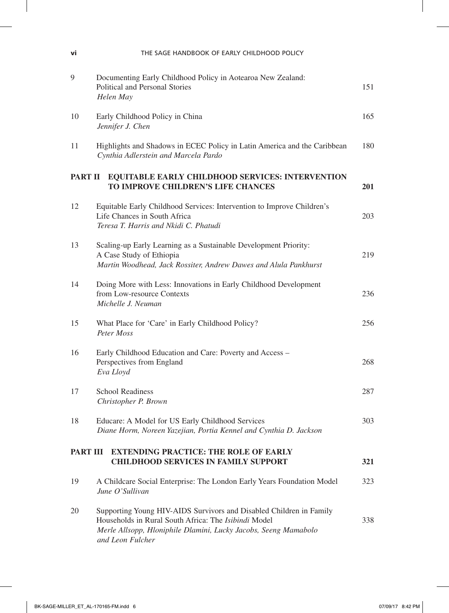| vi              | THE SAGE HANDBOOK OF EARLY CHILDHOOD POLICY                                                                                                                                                                        |     |
|-----------------|--------------------------------------------------------------------------------------------------------------------------------------------------------------------------------------------------------------------|-----|
| 9               | Documenting Early Childhood Policy in Aotearoa New Zealand:<br>Political and Personal Stories<br>Helen May                                                                                                         | 151 |
| 10              | Early Childhood Policy in China<br>Jennifer J. Chen                                                                                                                                                                | 165 |
| 11              | Highlights and Shadows in ECEC Policy in Latin America and the Caribbean<br>Cynthia Adlerstein and Marcela Pardo                                                                                                   | 180 |
| <b>PART II</b>  | EQUITABLE EARLY CHILDHOOD SERVICES: INTERVENTION<br>TO IMPROVE CHILDREN'S LIFE CHANCES                                                                                                                             | 201 |
| 12              | Equitable Early Childhood Services: Intervention to Improve Children's<br>Life Chances in South Africa<br>Teresa T. Harris and Nkidi C. Phatudi                                                                    | 203 |
| 13              | Scaling-up Early Learning as a Sustainable Development Priority:<br>A Case Study of Ethiopia<br>Martin Woodhead, Jack Rossiter, Andrew Dawes and Alula Pankhurst                                                   | 219 |
| 14              | Doing More with Less: Innovations in Early Childhood Development<br>from Low-resource Contexts<br>Michelle J. Neuman                                                                                               | 236 |
| 15              | What Place for 'Care' in Early Childhood Policy?<br>Peter Moss                                                                                                                                                     | 256 |
| 16              | Early Childhood Education and Care: Poverty and Access -<br>Perspectives from England<br>Eva Lloyd                                                                                                                 | 268 |
| 17              | <b>School Readiness</b><br>Christopher P. Brown                                                                                                                                                                    | 287 |
| 18              | Educare: A Model for US Early Childhood Services<br>Diane Horm, Noreen Yazejian, Portia Kennel and Cynthia D. Jackson                                                                                              | 303 |
| <b>PART III</b> | <b>EXTENDING PRACTICE: THE ROLE OF EARLY</b><br><b>CHILDHOOD SERVICES IN FAMILY SUPPORT</b>                                                                                                                        | 321 |
| 19              | A Childcare Social Enterprise: The London Early Years Foundation Model<br>June O'Sullivan                                                                                                                          | 323 |
| 20              | Supporting Young HIV-AIDS Survivors and Disabled Children in Family<br>Households in Rural South Africa: The Isibindi Model<br>Merle Allsopp, Hloniphile Dlamini, Lucky Jacobs, Seeng Mamabolo<br>and Leon Fulcher | 338 |

I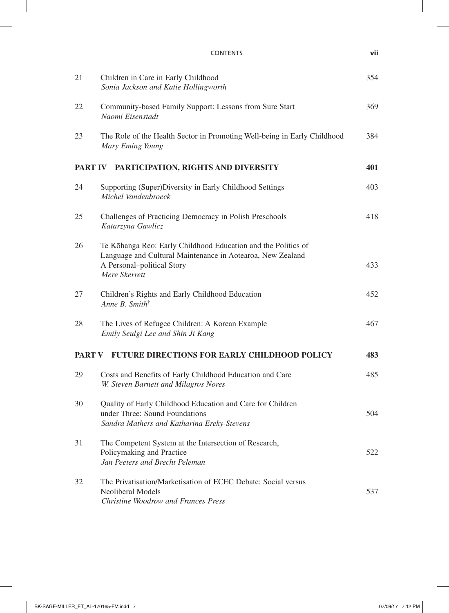| 21                                                                   | Children in Care in Early Childhood<br>Sonia Jackson and Katie Hollingworth                                                                                                  | 354 |  |
|----------------------------------------------------------------------|------------------------------------------------------------------------------------------------------------------------------------------------------------------------------|-----|--|
| 22                                                                   | Community-based Family Support: Lessons from Sure Start<br>Naomi Eisenstadt                                                                                                  | 369 |  |
| 23                                                                   | The Role of the Health Sector in Promoting Well-being in Early Childhood<br>Mary Eming Young                                                                                 | 384 |  |
| PARTICIPATION, RIGHTS AND DIVERSITY<br><b>PART IV</b>                |                                                                                                                                                                              |     |  |
| 24                                                                   | Supporting (Super)Diversity in Early Childhood Settings<br>Michel Vandenbroeck                                                                                               | 403 |  |
| 25                                                                   | Challenges of Practicing Democracy in Polish Preschools<br>Katarzyna Gawlicz                                                                                                 | 418 |  |
| 26                                                                   | Te Kōhanga Reo: Early Childhood Education and the Politics of<br>Language and Cultural Maintenance in Aotearoa, New Zealand -<br>A Personal-political Story<br>Mere Skerrett | 433 |  |
| 27                                                                   | Children's Rights and Early Childhood Education<br>Anne B. Smith <sup>†</sup>                                                                                                | 452 |  |
| 28                                                                   | The Lives of Refugee Children: A Korean Example<br>Emily Seulgi Lee and Shin Ji Kang                                                                                         | 467 |  |
| FUTURE DIRECTIONS FOR EARLY CHILDHOOD POLICY<br>483<br><b>PART V</b> |                                                                                                                                                                              |     |  |
| 29                                                                   | Costs and Benefits of Early Childhood Education and Care<br>W. Steven Barnett and Milagros Nores                                                                             | 485 |  |
| 30                                                                   | Quality of Early Childhood Education and Care for Children<br>under Three: Sound Foundations<br>Sandra Mathers and Katharina Ereky-Stevens                                   | 504 |  |
| 31                                                                   | The Competent System at the Intersection of Research,<br>Policymaking and Practice<br>Jan Peeters and Brecht Peleman                                                         | 522 |  |
| 32                                                                   | The Privatisation/Marketisation of ECEC Debate: Social versus<br>Neoliberal Models<br><b>Christine Woodrow and Frances Press</b>                                             | 537 |  |

Contents vii

 $\overline{\phantom{a}}$ 

 $\overline{\phantom{a}}$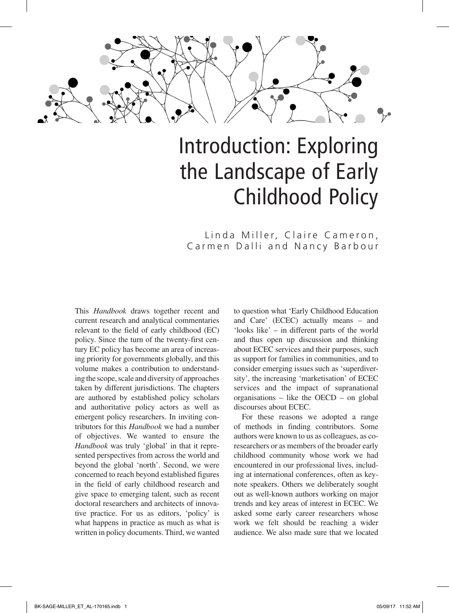

## Introduction: Exploring the Landscape of Early Childhood Policy

Linda Miller, Claire Cameron, Carmen Dalli and Nancy Barbour

This *Handbook* draws together recent and current research and analytical commentaries relevant to the field of early childhood (EC) policy. Since the turn of the twenty-first century EC policy has become an area of increasing priority for governments globally, and this volume makes a contribution to understanding the scope, scale and diversity of approaches taken by different jurisdictions. The chapters are authored by established policy scholars and authoritative policy actors as well as emergent policy researchers. In inviting contributors for this *Handbook* we had a number of objectives. We wanted to ensure the *Handbook* was truly 'global' in that it represented perspectives from across the world and beyond the global 'north'. Second, we were concerned to reach beyond established figures in the field of early childhood research and give space to emerging talent, such as recent doctoral researchers and architects of innovative practice. For us as editors, 'policy' is what happens in practice as much as what is written in policy documents. Third, we wanted to question what 'Early Childhood Education and Care' (ECEC) actually means – and 'looks like' – in different parts of the world and thus open up discussion and thinking about ECEC services and their purposes, such as support for families in communities, and to consider emerging issues such as 'superdiversity', the increasing 'marketisation' of ECEC services and the impact of supranational organisations – like the OECD – on global discourses about ECEC.

For these reasons we adopted a range of methods in finding contributors. Some authors were known to us as colleagues, as coresearchers or as members of the broader early childhood community whose work we had encountered in our professional lives, including at international conferences, often as keynote speakers. Others we deliberately sought out as well-known authors working on major trends and key areas of interest in ECEC. We asked some early career researchers whose work we felt should be reaching a wider audience. We also made sure that we located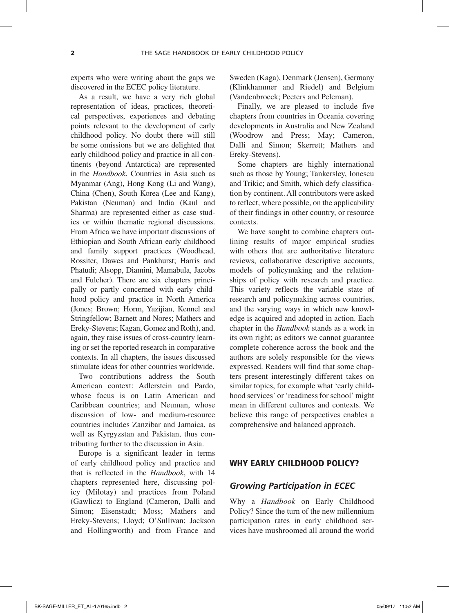experts who were writing about the gaps we discovered in the ECEC policy literature.

As a result, we have a very rich global representation of ideas, practices, theoretical perspectives, experiences and debating points relevant to the development of early childhood policy. No doubt there will still be some omissions but we are delighted that early childhood policy and practice in all continents (beyond Antarctica) are represented in the *Handbook*. Countries in Asia such as Myanmar (Ang), Hong Kong (Li and Wang), China (Chen), South Korea (Lee and Kang), Pakistan (Neuman) and India (Kaul and Sharma) are represented either as case studies or within thematic regional discussions. From Africa we have important discussions of Ethiopian and South African early childhood and family support practices (Woodhead, Rossiter, Dawes and Pankhurst; Harris and Phatudi; Alsopp, Diamini, Mamabula, Jacobs and Fulcher). There are six chapters principally or partly concerned with early childhood policy and practice in North America (Jones; Brown; Horm, Yazijian, Kennel and Stringfellow; Barnett and Nores; Mathers and Ereky-Stevens; Kagan, Gomez and Roth), and, again, they raise issues of cross-country learning or set the reported research in comparative contexts. In all chapters, the issues discussed stimulate ideas for other countries worldwide.

Two contributions address the South American context: Adlerstein and Pardo, whose focus is on Latin American and Caribbean countries; and Neuman, whose discussion of low- and medium-resource countries includes Zanzibar and Jamaica, as well as Kyrgyzstan and Pakistan, thus contributing further to the discussion in Asia.

Europe is a significant leader in terms of early childhood policy and practice and that is reflected in the *Handbook*, with 14 chapters represented here, discussing policy (Milotay) and practices from Poland (Gawlicz) to England (Cameron, Dalli and Simon; Eisenstadt; Moss; Mathers and Ereky-Stevens; Lloyd; O'Sullivan; Jackson and Hollingworth) and from France and

Sweden (Kaga), Denmark (Jensen), Germany (Klinkhammer and Riedel) and Belgium (Vandenbroeck; Peeters and Peleman).

Finally, we are pleased to include five chapters from countries in Oceania covering developments in Australia and New Zealand (Woodrow and Press; May; Cameron, Dalli and Simon; Skerrett; Mathers and Ereky-Stevens).

Some chapters are highly international such as those by Young; Tankersley, Ionescu and Trikic; and Smith, which defy classification by continent. All contributors were asked to reflect, where possible, on the applicability of their findings in other country, or resource contexts.

We have sought to combine chapters outlining results of major empirical studies with others that are authoritative literature reviews, collaborative descriptive accounts, models of policymaking and the relationships of policy with research and practice. This variety reflects the variable state of research and policymaking across countries, and the varying ways in which new knowledge is acquired and adopted in action. Each chapter in the *Handbook* stands as a work in its own right; as editors we cannot guarantee complete coherence across the book and the authors are solely responsible for the views expressed. Readers will find that some chapters present interestingly different takes on similar topics, for example what 'early childhood services' or 'readiness for school' might mean in different cultures and contexts. We believe this range of perspectives enables a comprehensive and balanced approach.

#### Why Early Childhood Policy?

#### *Growing Participation in ECEC*

Why a *Handbook* on Early Childhood Policy? Since the turn of the new millennium participation rates in early childhood services have mushroomed all around the world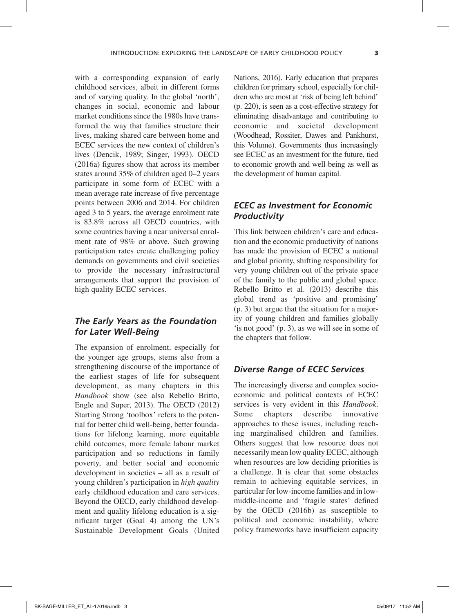with a corresponding expansion of early childhood services, albeit in different forms and of varying quality. In the global 'north', changes in social, economic and labour market conditions since the 1980s have transformed the way that families structure their lives, making shared care between home and ECEC services the new context of children's lives (Dencik, 1989; Singer, 1993). OECD (2016a) figures show that across its member states around 35% of children aged 0–2 years participate in some form of ECEC with a mean average rate increase of five percentage points between 2006 and 2014. For children aged 3 to 5 years, the average enrolment rate is 83.8% across all OECD countries, with some countries having a near universal enrolment rate of 98% or above. Such growing participation rates create challenging policy demands on governments and civil societies to provide the necessary infrastructural arrangements that support the provision of high quality ECEC services.

#### *The Early Years as the Foundation for Later Well-Being*

The expansion of enrolment, especially for the younger age groups, stems also from a strengthening discourse of the importance of the earliest stages of life for subsequent development, as many chapters in this *Handbook* show (see also Rebello Britto, Engle and Super, 2013). The OECD (2012) Starting Strong 'toolbox' refers to the potential for better child well-being, better foundations for lifelong learning, more equitable child outcomes, more female labour market participation and so reductions in family poverty, and better social and economic development in societies – all as a result of young children's participation in *high quality* early childhood education and care services. Beyond the OECD, early childhood development and quality lifelong education is a significant target (Goal 4) among the UN's Sustainable Development Goals (United Nations, 2016). Early education that prepares children for primary school, especially for children who are most at 'risk of being left behind' (p. 220), is seen as a cost-effective strategy for eliminating disadvantage and contributing to economic and societal development (Woodhead, Rossiter, Dawes and Pankhurst, this Volume). Governments thus increasingly see ECEC as an investment for the future, tied to economic growth and well-being as well as the development of human capital.

#### *ECEC as Investment for Economic Productivity*

This link between children's care and education and the economic productivity of nations has made the provision of ECEC a national and global priority, shifting responsibility for very young children out of the private space of the family to the public and global space. Rebello Britto et al. (2013) describe this global trend as 'positive and promising' (p. 3) but argue that the situation for a majority of young children and families globally 'is not good' (p. 3), as we will see in some of the chapters that follow.

#### *Diverse Range of ECEC Services*

The increasingly diverse and complex socioeconomic and political contexts of ECEC services is very evident in this *Handbook*. Some chapters describe innovative approaches to these issues, including reaching marginalised children and families. Others suggest that low resource does not necessarily mean low quality ECEC, although when resources are low deciding priorities is a challenge. It is clear that some obstacles remain to achieving equitable services, in particular for low-income families and in lowmiddle-income and 'fragile states' defined by the OECD (2016b) as susceptible to political and economic instability, where policy frameworks have insufficient capacity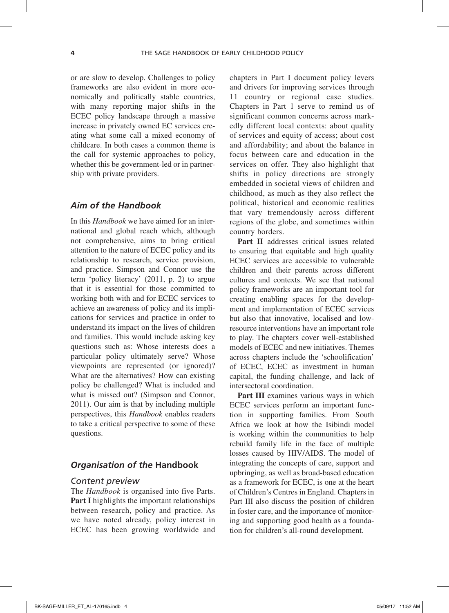or are slow to develop. Challenges to policy frameworks are also evident in more economically and politically stable countries, with many reporting major shifts in the ECEC policy landscape through a massive increase in privately owned EC services creating what some call a mixed economy of childcare. In both cases a common theme is the call for systemic approaches to policy, whether this be government-led or in partnership with private providers.

#### *Aim of the Handbook*

In this *Handbook* we have aimed for an international and global reach which, although not comprehensive, aims to bring critical attention to the nature of ECEC policy and its relationship to research, service provision, and practice. Simpson and Connor use the term 'policy literacy' (2011, p. 2) to argue that it is essential for those committed to working both with and for ECEC services to achieve an awareness of policy and its implications for services and practice in order to understand its impact on the lives of children and families. This would include asking key questions such as: Whose interests does a particular policy ultimately serve? Whose viewpoints are represented (or ignored)? What are the alternatives? How can existing policy be challenged? What is included and what is missed out? (Simpson and Connor, 2011). Our aim is that by including multiple perspectives, this *Handbook* enables readers to take a critical perspective to some of these questions.

#### *Organisation of the* **Handbook**

#### *Content preview*

The *Handbook* is organised into five Parts. **Part I** highlights the important relationships between research, policy and practice. As we have noted already, policy interest in ECEC has been growing worldwide and chapters in Part I document policy levers and drivers for improving services through 11 country or regional case studies. Chapters in Part 1 serve to remind us of significant common concerns across markedly different local contexts: about quality of services and equity of access; about cost and affordability; and about the balance in focus between care and education in the services on offer. They also highlight that shifts in policy directions are strongly embedded in societal views of children and childhood, as much as they also reflect the political, historical and economic realities that vary tremendously across different regions of the globe, and sometimes within country borders.

**Part II** addresses critical issues related to ensuring that equitable and high quality ECEC services are accessible to vulnerable children and their parents across different cultures and contexts. We see that national policy frameworks are an important tool for creating enabling spaces for the development and implementation of ECEC services but also that innovative, localised and lowresource interventions have an important role to play. The chapters cover well-established models of ECEC and new initiatives. Themes across chapters include the 'schoolification' of ECEC, ECEC as investment in human capital, the funding challenge, and lack of intersectoral coordination.

**Part III** examines various ways in which ECEC services perform an important function in supporting families. From South Africa we look at how the Isibindi model is working within the communities to help rebuild family life in the face of multiple losses caused by HIV/AIDS. The model of integrating the concepts of care, support and upbringing, as well as broad-based education as a framework for ECEC, is one at the heart of Children's Centres in England. Chapters in Part III also discuss the position of children in foster care, and the importance of monitoring and supporting good health as a foundation for children's all-round development.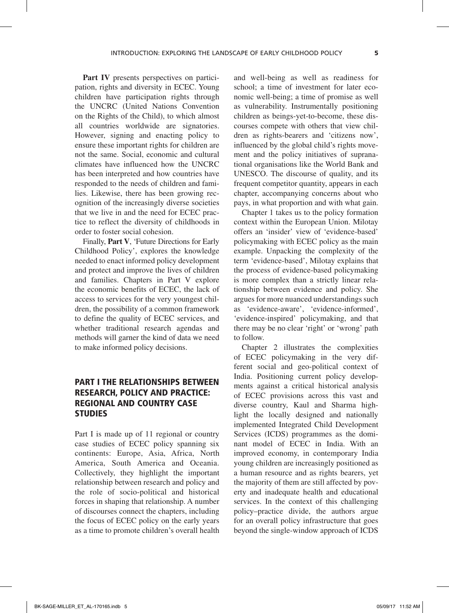**Part IV** presents perspectives on participation, rights and diversity in ECEC. Young children have participation rights through the UNCRC (United Nations Convention on the Rights of the Child), to which almost all countries worldwide are signatories. However, signing and enacting policy to ensure these important rights for children are not the same. Social, economic and cultural climates have influenced how the UNCRC has been interpreted and how countries have responded to the needs of children and families. Likewise, there has been growing recognition of the increasingly diverse societies that we live in and the need for ECEC practice to reflect the diversity of childhoods in order to foster social cohesion.

Finally, **Part V**, 'Future Directions for Early Childhood Policy', explores the knowledge needed to enact informed policy development and protect and improve the lives of children and families. Chapters in Part V explore the economic benefits of ECEC, the lack of access to services for the very youngest children, the possibility of a common framework to define the quality of ECEC services, and whether traditional research agendas and methods will garner the kind of data we need to make informed policy decisions.

#### Part I The relationships between research, policy and practice: regional and country case **STUDIES**

Part I is made up of 11 regional or country case studies of ECEC policy spanning six continents: Europe, Asia, Africa, North America, South America and Oceania. Collectively, they highlight the important relationship between research and policy and the role of socio-political and historical forces in shaping that relationship. A number of discourses connect the chapters, including the focus of ECEC policy on the early years as a time to promote children's overall health and well-being as well as readiness for school; a time of investment for later economic well-being; a time of promise as well as vulnerability. Instrumentally positioning children as beings-yet-to-become, these discourses compete with others that view children as rights-bearers and 'citizens now', influenced by the global child's rights movement and the policy initiatives of supranational organisations like the World Bank and UNESCO. The discourse of quality, and its frequent competitor quantity, appears in each chapter, accompanying concerns about who pays, in what proportion and with what gain.

Chapter 1 takes us to the policy formation context within the European Union. Milotay offers an 'insider' view of 'evidence-based' policymaking with ECEC policy as the main example. Unpacking the complexity of the term 'evidence-based', Milotay explains that the process of evidence-based policymaking is more complex than a strictly linear relationship between evidence and policy. She argues for more nuanced understandings such as 'evidence-aware', 'evidence-informed', 'evidence-inspired' policymaking, and that there may be no clear 'right' or 'wrong' path to follow.

Chapter 2 illustrates the complexities of ECEC policymaking in the very different social and geo-political context of India. Positioning current policy developments against a critical historical analysis of ECEC provisions across this vast and diverse country, Kaul and Sharma highlight the locally designed and nationally implemented Integrated Child Development Services (ICDS) programmes as the dominant model of ECEC in India. With an improved economy, in contemporary India young children are increasingly positioned as a human resource and as rights bearers, yet the majority of them are still affected by poverty and inadequate health and educational services. In the context of this challenging policy–practice divide, the authors argue for an overall policy infrastructure that goes beyond the single-window approach of ICDS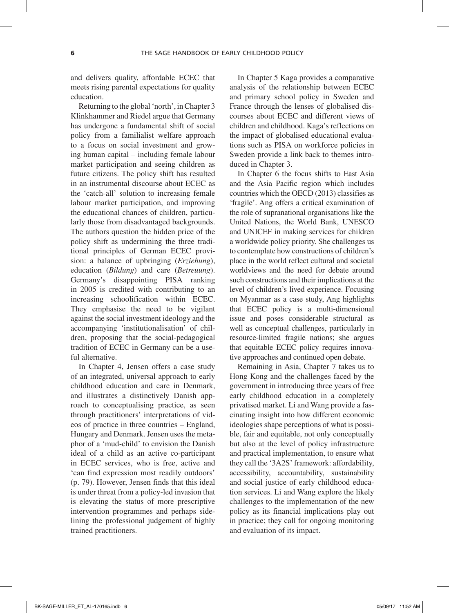and delivers quality, affordable ECEC that meets rising parental expectations for quality education.

Returning to the global 'north', in Chapter 3 Klinkhammer and Riedel argue that Germany has undergone a fundamental shift of social policy from a familialist welfare approach to a focus on social investment and growing human capital – including female labour market participation and seeing children as future citizens. The policy shift has resulted in an instrumental discourse about ECEC as the 'catch-all' solution to increasing female labour market participation, and improving the educational chances of children, particularly those from disadvantaged backgrounds. The authors question the hidden price of the policy shift as undermining the three traditional principles of German ECEC provision: a balance of upbringing (*Erziehung*), education (*Bildung*) and care (*Betreuung*). Germany's disappointing PISA ranking in 2005 is credited with contributing to an increasing schoolification within ECEC. They emphasise the need to be vigilant against the social investment ideology and the accompanying 'institutionalisation' of children, proposing that the social-pedagogical tradition of ECEC in Germany can be a useful alternative.

In Chapter 4, Jensen offers a case study of an integrated, universal approach to early childhood education and care in Denmark, and illustrates a distinctively Danish approach to conceptualising practice, as seen through practitioners' interpretations of videos of practice in three countries – England, Hungary and Denmark. Jensen uses the metaphor of a 'mud-child' to envision the Danish ideal of a child as an active co-participant in ECEC services, who is free, active and 'can find expression most readily outdoors' (p. 79). However, Jensen finds that this ideal is under threat from a policy-led invasion that is elevating the status of more prescriptive intervention programmes and perhaps sidelining the professional judgement of highly trained practitioners.

In Chapter 5 Kaga provides a comparative analysis of the relationship between ECEC and primary school policy in Sweden and France through the lenses of globalised discourses about ECEC and different views of children and childhood. Kaga's reflections on the impact of globalised educational evaluations such as PISA on workforce policies in Sweden provide a link back to themes introduced in Chapter 3.

In Chapter 6 the focus shifts to East Asia and the Asia Pacific region which includes countries which the OECD (2013) classifies as 'fragile'. Ang offers a critical examination of the role of supranational organisations like the United Nations, the World Bank, UNESCO and UNICEF in making services for children a worldwide policy priority. She challenges us to contemplate how constructions of children's place in the world reflect cultural and societal worldviews and the need for debate around such constructions and their implications at the level of children's lived experience. Focusing on Myanmar as a case study, Ang highlights that ECEC policy is a multi-dimensional issue and poses considerable structural as well as conceptual challenges, particularly in resource-limited fragile nations; she argues that equitable ECEC policy requires innovative approaches and continued open debate.

Remaining in Asia, Chapter 7 takes us to Hong Kong and the challenges faced by the government in introducing three years of free early childhood education in a completely privatised market. Li and Wang provide a fascinating insight into how different economic ideologies shape perceptions of what is possible, fair and equitable, not only conceptually but also at the level of policy infrastructure and practical implementation, to ensure what they call the '3A2S' framework: affordability, accessibility, accountability, sustainability and social justice of early childhood education services. Li and Wang explore the likely challenges to the implementation of the new policy as its financial implications play out in practice; they call for ongoing monitoring and evaluation of its impact.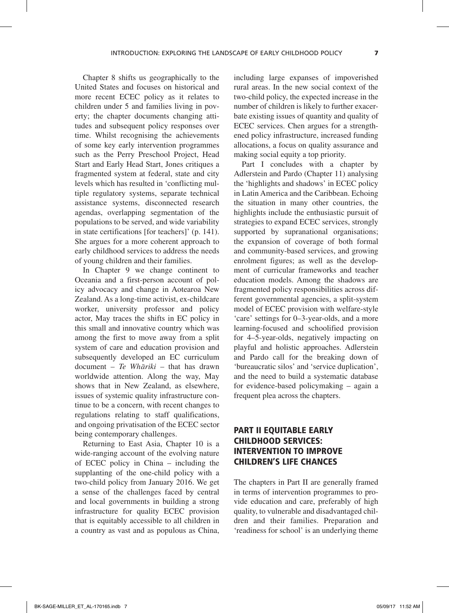Chapter 8 shifts us geographically to the United States and focuses on historical and more recent ECEC policy as it relates to children under 5 and families living in poverty; the chapter documents changing attitudes and subsequent policy responses over time. Whilst recognising the achievements of some key early intervention programmes such as the Perry Preschool Project, Head Start and Early Head Start, Jones critiques a fragmented system at federal, state and city levels which has resulted in 'conflicting multiple regulatory systems, separate technical assistance systems, disconnected research agendas, overlapping segmentation of the populations to be served, and wide variability in state certifications [for teachers]' (p. 141). She argues for a more coherent approach to early childhood services to address the needs of young children and their families.

In Chapter 9 we change continent to Oceania and a first-person account of policy advocacy and change in Aotearoa New Zealand. As a long-time activist, ex-childcare worker, university professor and policy actor, May traces the shifts in EC policy in this small and innovative country which was among the first to move away from a split system of care and education provision and subsequently developed an EC curriculum document – *Te Wh¯ariki* – that has drawn worldwide attention. Along the way, May shows that in New Zealand, as elsewhere, issues of systemic quality infrastructure continue to be a concern, with recent changes to regulations relating to staff qualifications, and ongoing privatisation of the ECEC sector being contemporary challenges.

Returning to East Asia, Chapter 10 is a wide-ranging account of the evolving nature of ECEC policy in China – including the supplanting of the one-child policy with a two-child policy from January 2016. We get a sense of the challenges faced by central and local governments in building a strong infrastructure for quality ECEC provision that is equitably accessible to all children in a country as vast and as populous as China, including large expanses of impoverished rural areas. In the new social context of the two-child policy, the expected increase in the number of children is likely to further exacerbate existing issues of quantity and quality of ECEC services. Chen argues for a strengthened policy infrastructure, increased funding allocations, a focus on quality assurance and making social equity a top priority.

Part I concludes with a chapter by Adlerstein and Pardo (Chapter 11) analysing the 'highlights and shadows' in ECEC policy in Latin America and the Caribbean. Echoing the situation in many other countries, the highlights include the enthusiastic pursuit of strategies to expand ECEC services, strongly supported by supranational organisations; the expansion of coverage of both formal and community-based services, and growing enrolment figures; as well as the development of curricular frameworks and teacher education models. Among the shadows are fragmented policy responsibilities across different governmental agencies, a split-system model of ECEC provision with welfare-style 'care' settings for 0–3-year-olds, and a more learning-focused and schoolified provision for 4–5-year-olds, negatively impacting on playful and holistic approaches. Adlerstein and Pardo call for the breaking down of 'bureaucratic silos' and 'service duplication', and the need to build a systematic database for evidence-based policymaking – again a frequent plea across the chapters.

#### Part II Equitable Early Childhood Services: Intervention to Improve Children's Life Chances

The chapters in Part II are generally framed in terms of intervention programmes to provide education and care, preferably of high quality, to vulnerable and disadvantaged children and their families. Preparation and 'readiness for school' is an underlying theme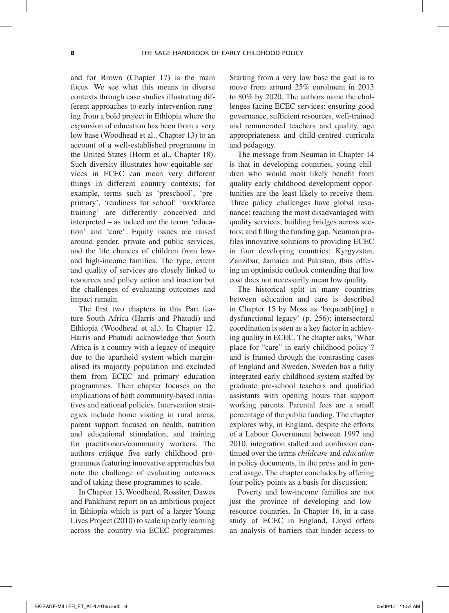and for Brown (Chapter 17) is the main focus. We see what this means in diverse contexts through case studies illustrating different approaches to early intervention ranging from a bold project in Ethiopia where the expansion of education has been from a very low base (Woodhead et al., Chapter 13) to an account of a well-established programme in the United States (Horm et al., Chapter 18). Such diversity illustrates how equitable services in ECEC can mean very different things in different country contexts; for example, terms such as 'preschool', 'preprimary', 'readiness for school' 'workforce training' are differently conceived and interpreted – as indeed are the terms 'education' and 'care'. Equity issues are raised around gender, private and public services, and the life chances of children from lowand high-income families. The type, extent and quality of services are closely linked to resources and policy action and inaction but the challenges of evaluating outcomes and impact remain.

The first two chapters in this Part feature South Africa (Harris and Phatudi) and Ethiopia (Woodhead et al.). In Chapter 12, Harris and Phatudi acknowledge that South Africa is a country with a legacy of inequity due to the apartheid system which marginalised its majority population and excluded them from ECEC and primary education programmes. Their chapter focuses on the implications of both community-based initiatives and national policies. Intervention strategies include home visiting in rural areas, parent support focused on health, nutrition and educational stimulation, and training for practitioners/community workers. The authors critique five early childhood programmes featuring innovative approaches but note the challenge of evaluating outcomes and of taking these programmes to scale.

In Chapter 13, Woodhead, Rossiter, Dawes and Pankhurst report on an ambitious project in Ethiopia which is part of a larger Young Lives Project (2010) to scale up early learning across the country via ECEC programmes.

Starting from a very low base the goal is to move from around 25% enrolment in 2013 to 80% by 2020. The authors name the challenges facing ECEC services: ensuring good governance, sufficient resources, well-trained and remunerated teachers and quality, age appropriateness and child-centred curricula and pedagogy.

The message from Neuman in Chapter 14 is that in developing countries, young children who would most likely benefit from quality early childhood development opportunities are the least likely to receive them. Three policy challenges have global resonance: reaching the most disadvantaged with quality services; building bridges across sectors; and filling the funding gap. Neuman profiles innovative solutions to providing ECEC in four developing countries: Kyrgyzstan, Zanzibar, Jamaica and Pakistan, thus offering an optimistic outlook contending that low cost does not necessarily mean low quality.

The historical split in many countries between education and care is described in Chapter 15 by Moss as 'bequeath[ing] a dysfunctional legacy' (p. 256); intersectoral coordination is seen as a key factor in achieving quality in ECEC. The chapter asks, 'What place for "care" in early childhood policy'? and is framed through the contrasting cases of England and Sweden. Sweden has a fully integrated early childhood system staffed by graduate pre-school teachers and qualified assistants with opening hours that support working parents. Parental fees are a small percentage of the public funding. The chapter explores why, in England, despite the efforts of a Labour Government between 1997 and 2010, integration stalled and confusion continued over the terms *childcare* and *education*  in policy documents, in the press and in general usage. The chapter concludes by offering four policy points as a basis for discussion.

Poverty and low-income families are not just the province of developing and lowresource countries. In Chapter 16, in a case study of ECEC in England, Lloyd offers an analysis of barriers that hinder access to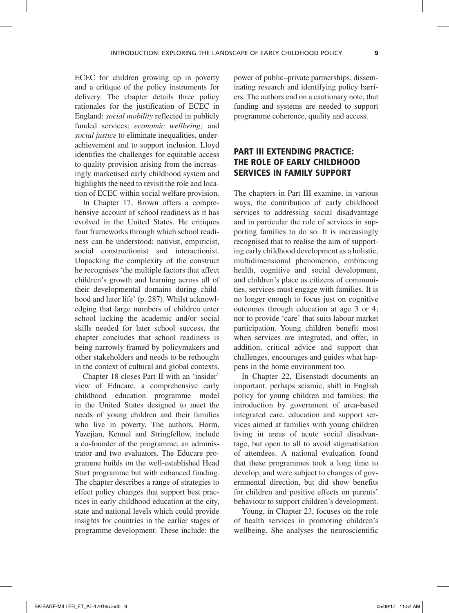ECEC for children growing up in poverty and a critique of the policy instruments for delivery. The chapter details three policy rationales for the justification of ECEC in England: *social mobility* reflected in publicly funded services; *economic wellbeing;* and *social justice* to eliminate inequalities, underachievement and to support inclusion. Lloyd identifies the challenges for equitable access to quality provision arising from the increasingly marketised early childhood system and highlights the need to revisit the role and location of ECEC within social welfare provision.

In Chapter 17, Brown offers a comprehensive account of school readiness as it has evolved in the United States. He critiques four frameworks through which school readiness can be understood: nativist, empiricist, social constructionist and interactionist. Unpacking the complexity of the construct he recognises 'the multiple factors that affect children's growth and learning across all of their developmental domains during childhood and later life' (p. 287). Whilst acknowledging that large numbers of children enter school lacking the academic and/or social skills needed for later school success, the chapter concludes that school readiness is being narrowly framed by policymakers and other stakeholders and needs to be rethought in the context of cultural and global contexts.

Chapter 18 closes Part II with an 'insider' view of Educare, a comprehensive early childhood education programme model in the United States designed to meet the needs of young children and their families who live in poverty. The authors, Horm, Yazejian, Kennel and Stringfellow, include a co-founder of the programme, an administrator and two evaluators. The Educare programme builds on the well-established Head Start programme but with enhanced funding. The chapter describes a range of strategies to effect policy changes that support best practices in early childhood education at the city, state and national levels which could provide insights for countries in the earlier stages of programme development. These include: the power of public–private partnerships, disseminating research and identifying policy barriers. The authors end on a cautionary note, that funding and systems are needed to support programme coherence, quality and access.

#### Part III Extending practice: the role of early childhood services in family support

The chapters in Part III examine, in various ways, the contribution of early childhood services to addressing social disadvantage and in particular the role of services in supporting families to do so. It is increasingly recognised that to realise the aim of supporting early childhood development as a holistic, multidimensional phenomenon, embracing health, cognitive and social development, and children's place as citizens of communities, services must engage with families. It is no longer enough to focus just on cognitive outcomes through education at age 3 or 4; nor to provide 'care' that suits labour market participation. Young children benefit most when services are integrated, and offer, in addition, critical advice and support that challenges, encourages and guides what happens in the home environment too.

In Chapter 22, Eisenstadt documents an important, perhaps seismic, shift in English policy for young children and families: the introduction by government of area-based integrated care, education and support services aimed at families with young children living in areas of acute social disadvantage, but open to all to avoid stigmatisation of attendees. A national evaluation found that these programmes took a long time to develop, and were subject to changes of governmental direction, but did show benefits for children and positive effects on parents' behaviour to support children's development.

Young, in Chapter 23, focuses on the role of health services in promoting children's wellbeing. She analyses the neuroscientific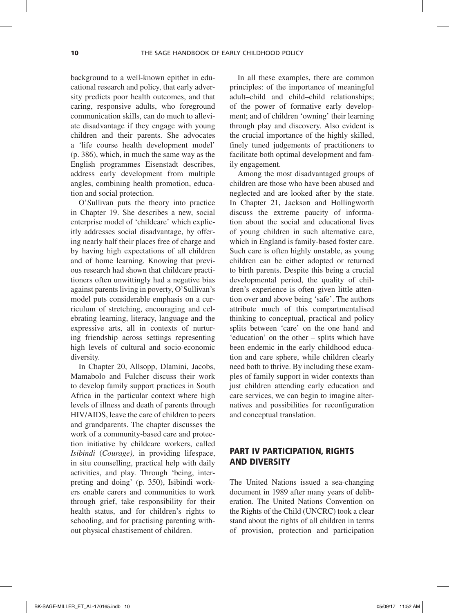background to a well-known epithet in educational research and policy, that early adversity predicts poor health outcomes, and that caring, responsive adults, who foreground communication skills, can do much to alleviate disadvantage if they engage with young children and their parents. She advocates a 'life course health development model' (p. 386), which, in much the same way as the English programmes Eisenstadt describes, address early development from multiple angles, combining health promotion, education and social protection.

O'Sullivan puts the theory into practice in Chapter 19. She describes a new, social enterprise model of 'childcare' which explicitly addresses social disadvantage, by offering nearly half their places free of charge and by having high expectations of all children and of home learning. Knowing that previous research had shown that childcare practitioners often unwittingly had a negative bias against parents living in poverty, O'Sullivan's model puts considerable emphasis on a curriculum of stretching, encouraging and celebrating learning, literacy, language and the expressive arts, all in contexts of nurturing friendship across settings representing high levels of cultural and socio-economic diversity.

In Chapter 20, Allsopp, Dlamini, Jacobs, Mamabolo and Fulcher discuss their work to develop family support practices in South Africa in the particular context where high levels of illness and death of parents through HIV/AIDS, leave the care of children to peers and grandparents. The chapter discusses the work of a community-based care and protection initiative by childcare workers, called *Isibindi* (*Courage),* in providing lifespace, in situ counselling, practical help with daily activities, and play. Through 'being, interpreting and doing' (p. 350), Isibindi workers enable carers and communities to work through grief, take responsibility for their health status, and for children's rights to schooling, and for practising parenting without physical chastisement of children.

In all these examples, there are common principles: of the importance of meaningful adult–child and child–child relationships; of the power of formative early development; and of children 'owning' their learning through play and discovery. Also evident is the crucial importance of the highly skilled, finely tuned judgements of practitioners to facilitate both optimal development and family engagement.

Among the most disadvantaged groups of children are those who have been abused and neglected and are looked after by the state. In Chapter 21, Jackson and Hollingworth discuss the extreme paucity of information about the social and educational lives of young children in such alternative care, which in England is family-based foster care. Such care is often highly unstable, as young children can be either adopted or returned to birth parents. Despite this being a crucial developmental period, the quality of children's experience is often given little attention over and above being 'safe'. The authors attribute much of this compartmentalised thinking to conceptual, practical and policy splits between 'care' on the one hand and 'education' on the other – splits which have been endemic in the early childhood education and care sphere, while children clearly need both to thrive. By including these examples of family support in wider contexts than just children attending early education and care services, we can begin to imagine alternatives and possibilities for reconfiguration and conceptual translation.

#### Part IV Participation, Rights and Diversity

The United Nations issued a sea-changing document in 1989 after many years of deliberation. The United Nations Convention on the Rights of the Child (UNCRC) took a clear stand about the rights of all children in terms of provision, protection and participation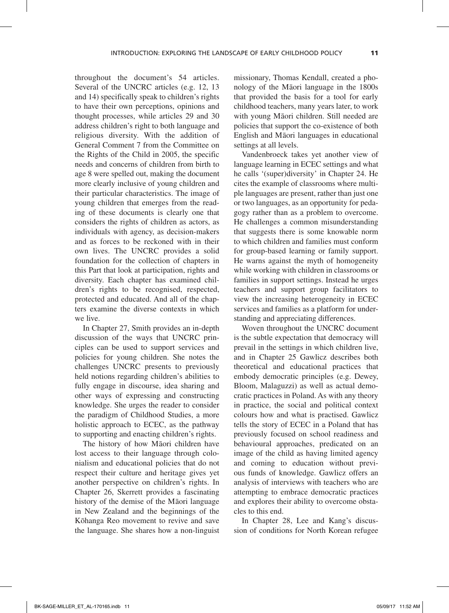throughout the document's 54 articles. Several of the UNCRC articles (e.g. 12, 13 and 14) specifically speak to children's rights to have their own perceptions, opinions and thought processes, while articles 29 and 30 address children's right to both language and religious diversity. With the addition of General Comment 7 from the Committee on the Rights of the Child in 2005, the specific needs and concerns of children from birth to age 8 were spelled out, making the document more clearly inclusive of young children and their particular characteristics. The image of young children that emerges from the reading of these documents is clearly one that considers the rights of children as actors, as individuals with agency, as decision-makers and as forces to be reckoned with in their own lives. The UNCRC provides a solid foundation for the collection of chapters in this Part that look at participation, rights and diversity. Each chapter has examined children's rights to be recognised, respected, protected and educated. And all of the chapters examine the diverse contexts in which we live.

In Chapter 27, Smith provides an in-depth discussion of the ways that UNCRC principles can be used to support services and policies for young children. She notes the challenges UNCRC presents to previously held notions regarding children's abilities to fully engage in discourse, idea sharing and other ways of expressing and constructing knowledge. She urges the reader to consider the paradigm of Childhood Studies, a more holistic approach to ECEC, as the pathway to supporting and enacting children's rights.

The history of how Māori children have lost access to their language through colonialism and educational policies that do not respect their culture and heritage gives yet another perspective on children's rights. In Chapter 26, Skerrett provides a fascinating history of the demise of the Māori language in New Zealand and the beginnings of the Kōhanga Reo movement to revive and save the language. She shares how a non-linguist missionary, Thomas Kendall, created a phonology of the Māori language in the 1800s that provided the basis for a tool for early childhood teachers, many years later, to work with young Māori children. Still needed are policies that support the co-existence of both English and Māori languages in educational settings at all levels.

Vandenbroeck takes yet another view of language learning in ECEC settings and what he calls '(super)diversity' in Chapter 24. He cites the example of classrooms where multiple languages are present, rather than just one or two languages, as an opportunity for pedagogy rather than as a problem to overcome. He challenges a common misunderstanding that suggests there is some knowable norm to which children and families must conform for group-based learning or family support. He warns against the myth of homogeneity while working with children in classrooms or families in support settings. Instead he urges teachers and support group facilitators to view the increasing heterogeneity in ECEC services and families as a platform for understanding and appreciating differences.

Woven throughout the UNCRC document is the subtle expectation that democracy will prevail in the settings in which children live, and in Chapter 25 Gawlicz describes both theoretical and educational practices that embody democratic principles (e.g. Dewey, Bloom, Malaguzzi) as well as actual democratic practices in Poland. As with any theory in practice, the social and political context colours how and what is practised. Gawlicz tells the story of ECEC in a Poland that has previously focused on school readiness and behavioural approaches, predicated on an image of the child as having limited agency and coming to education without previous funds of knowledge. Gawlicz offers an analysis of interviews with teachers who are attempting to embrace democratic practices and explores their ability to overcome obstacles to this end.

In Chapter 28, Lee and Kang's discussion of conditions for North Korean refugee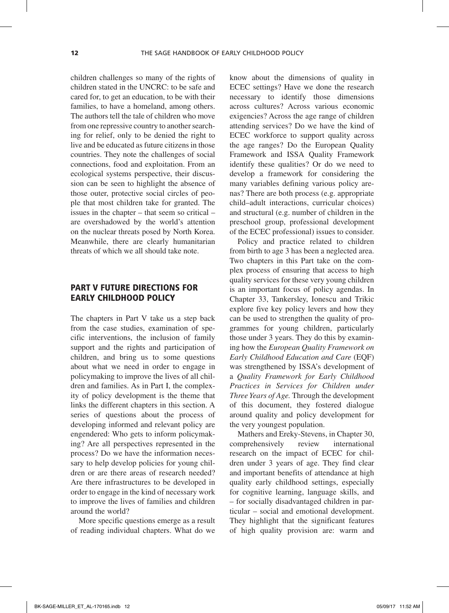children challenges so many of the rights of children stated in the UNCRC: to be safe and cared for, to get an education, to be with their families, to have a homeland, among others. The authors tell the tale of children who move from one repressive country to another searching for relief, only to be denied the right to live and be educated as future citizens in those countries. They note the challenges of social connections, food and exploitation. From an ecological systems perspective, their discussion can be seen to highlight the absence of those outer, protective social circles of people that most children take for granted. The issues in the chapter – that seem so critical – are overshadowed by the world's attention on the nuclear threats posed by North Korea. Meanwhile, there are clearly humanitarian threats of which we all should take note.

#### Part V Future Directions for Early Childhood Policy

The chapters in Part V take us a step back from the case studies, examination of specific interventions, the inclusion of family support and the rights and participation of children, and bring us to some questions about what we need in order to engage in policymaking to improve the lives of all children and families. As in Part I, the complexity of policy development is the theme that links the different chapters in this section. A series of questions about the process of developing informed and relevant policy are engendered: Who gets to inform policymaking? Are all perspectives represented in the process? Do we have the information necessary to help develop policies for young children or are there areas of research needed? Are there infrastructures to be developed in order to engage in the kind of necessary work to improve the lives of families and children around the world?

More specific questions emerge as a result of reading individual chapters. What do we

know about the dimensions of quality in ECEC settings? Have we done the research necessary to identify those dimensions across cultures? Across various economic exigencies? Across the age range of children attending services? Do we have the kind of ECEC workforce to support quality across the age ranges? Do the European Quality Framework and ISSA Quality Framework identify these qualities? Or do we need to develop a framework for considering the many variables defining various policy arenas? There are both process (e.g. appropriate child–adult interactions, curricular choices) and structural (e.g. number of children in the preschool group, professional development of the ECEC professional) issues to consider.

Policy and practice related to children from birth to age 3 has been a neglected area. Two chapters in this Part take on the complex process of ensuring that access to high quality services for these very young children is an important focus of policy agendas. In Chapter 33, Tankersley, Ionescu and Trikic explore five key policy levers and how they can be used to strengthen the quality of programmes for young children, particularly those under 3 years. They do this by examining how the *European Quality Framework on Early Childhood Education and Care* (EQF) was strengthened by ISSA's development of a *Quality Framework for Early Childhood Practices in Services for Children under Three Years of Age.* Through the development of this document, they fostered dialogue around quality and policy development for the very youngest population.

Mathers and Ereky-Stevens, in Chapter 30, comprehensively review international research on the impact of ECEC for children under 3 years of age. They find clear and important benefits of attendance at high quality early childhood settings, especially for cognitive learning, language skills, and – for socially disadvantaged children in particular – social and emotional development. They highlight that the significant features of high quality provision are: warm and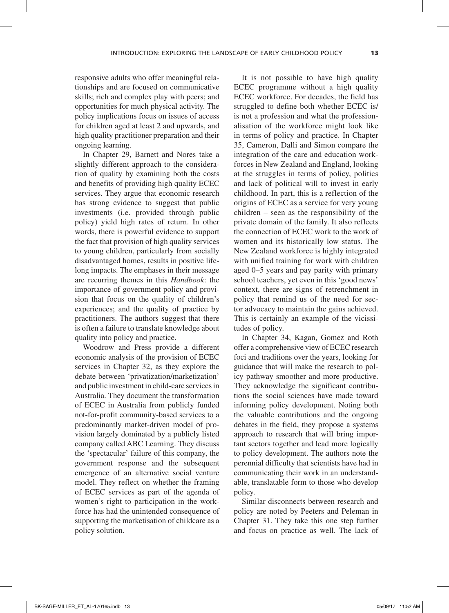responsive adults who offer meaningful relationships and are focused on communicative skills; rich and complex play with peers; and opportunities for much physical activity. The policy implications focus on issues of access for children aged at least 2 and upwards, and high quality practitioner preparation and their ongoing learning.

In Chapter 29, Barnett and Nores take a slightly different approach to the consideration of quality by examining both the costs and benefits of providing high quality ECEC services. They argue that economic research has strong evidence to suggest that public investments (i.e. provided through public policy) yield high rates of return. In other words, there is powerful evidence to support the fact that provision of high quality services to young children, particularly from socially disadvantaged homes, results in positive lifelong impacts. The emphases in their message are recurring themes in this *Handbook*: the importance of government policy and provision that focus on the quality of children's experiences; and the quality of practice by practitioners. The authors suggest that there is often a failure to translate knowledge about quality into policy and practice.

Woodrow and Press provide a different economic analysis of the provision of ECEC services in Chapter 32, as they explore the debate between 'privatization/marketization' and public investment in child-care services in Australia. They document the transformation of ECEC in Australia from publicly funded not-for-profit community-based services to a predominantly market-driven model of provision largely dominated by a publicly listed company called ABC Learning. They discuss the 'spectacular' failure of this company, the government response and the subsequent emergence of an alternative social venture model. They reflect on whether the framing of ECEC services as part of the agenda of women's right to participation in the workforce has had the unintended consequence of supporting the marketisation of childcare as a policy solution.

It is not possible to have high quality ECEC programme without a high quality ECEC workforce. For decades, the field has struggled to define both whether ECEC is/ is not a profession and what the professionalisation of the workforce might look like in terms of policy and practice. In Chapter 35, Cameron, Dalli and Simon compare the integration of the care and education workforces in New Zealand and England, looking at the struggles in terms of policy, politics and lack of political will to invest in early childhood. In part, this is a reflection of the origins of ECEC as a service for very young children – seen as the responsibility of the private domain of the family. It also reflects the connection of ECEC work to the work of women and its historically low status. The New Zealand workforce is highly integrated with unified training for work with children aged 0–5 years and pay parity with primary school teachers, yet even in this 'good news' context, there are signs of retrenchment in policy that remind us of the need for sector advocacy to maintain the gains achieved. This is certainly an example of the vicissitudes of policy.

In Chapter 34, Kagan, Gomez and Roth offer a comprehensive view of ECEC research foci and traditions over the years, looking for guidance that will make the research to policy pathway smoother and more productive. They acknowledge the significant contributions the social sciences have made toward informing policy development. Noting both the valuable contributions and the ongoing debates in the field, they propose a systems approach to research that will bring important sectors together and lead more logically to policy development. The authors note the perennial difficulty that scientists have had in communicating their work in an understandable, translatable form to those who develop policy.

Similar disconnects between research and policy are noted by Peeters and Peleman in Chapter 31. They take this one step further and focus on practice as well. The lack of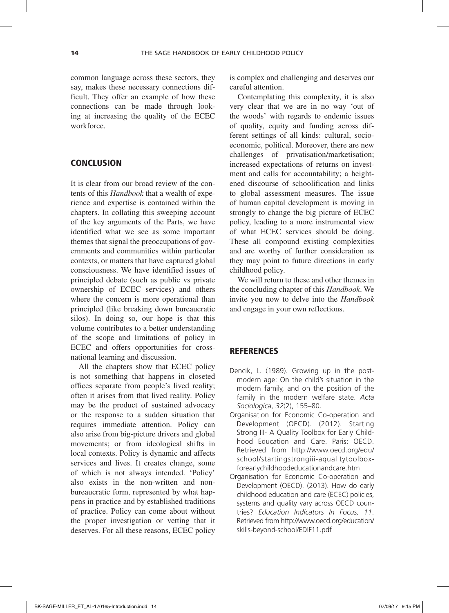common language across these sectors, they say, makes these necessary connections difficult. They offer an example of how these connections can be made through looking at increasing the quality of the ECEC workforce.

#### **CONCLUSION**

It is clear from our broad review of the contents of this *Handbook* that a wealth of experience and expertise is contained within the chapters. In collating this sweeping account of the key arguments of the Parts, we have identified what we see as some important themes that signal the preoccupations of governments and communities within particular contexts, or matters that have captured global consciousness. We have identified issues of principled debate (such as public vs private ownership of ECEC services) and others where the concern is more operational than principled (like breaking down bureaucratic silos). In doing so, our hope is that this volume contributes to a better understanding of the scope and limitations of policy in ECEC and offers opportunities for crossnational learning and discussion.

All the chapters show that ECEC policy is not something that happens in closeted offices separate from people's lived reality; often it arises from that lived reality. Policy may be the product of sustained advocacy or the response to a sudden situation that requires immediate attention. Policy can also arise from big-picture drivers and global movements; or from ideological shifts in local contexts. Policy is dynamic and affects services and lives. It creates change, some of which is not always intended. 'Policy' also exists in the non-written and nonbureaucratic form, represented by what happens in practice and by established traditions of practice. Policy can come about without the proper investigation or vetting that it deserves. For all these reasons, ECEC policy

is complex and challenging and deserves our careful attention.

Contemplating this complexity, it is also very clear that we are in no way 'out of the woods' with regards to endemic issues of quality, equity and funding across different settings of all kinds: cultural, socioeconomic, political. Moreover, there are new challenges of privatisation/marketisation; increased expectations of returns on investment and calls for accountability; a heightened discourse of schoolification and links to global assessment measures. The issue of human capital development is moving in strongly to change the big picture of ECEC policy, leading to a more instrumental view of what ECEC services should be doing. These all compound existing complexities and are worthy of further consideration as they may point to future directions in early childhood policy.

We will return to these and other themes in the concluding chapter of this *Handbook*. We invite you now to delve into the *Handbook* and engage in your own reflections.

#### **REFERENCES**

- Dencik, L. (1989). Growing up in the postmodern age: On the child's situation in the modern family, and on the position of the family in the modern welfare state. *Acta Sociologica*, *32*(2), 155–80.
- Organisation for Economic Co-operation and Development (OECD). (2012). Starting Strong III- A Quality Toolbox for Early Childhood Education and Care. Paris: OECD. Retrieved from http://www.oecd.org/edu/ school/startingstrongiii-aqualitytoolboxforearlychildhoodeducationandcare.htm
- Organisation for Economic Co-operation and Development (OECD). (2013). How do early childhood education and care (ECEC) policies, systems and quality vary across OECD countries? *Education Indicators In Focus, 11*. Retrieved from http://www.oecd.org/education/ skills-beyond-school/EDIF11.pdf